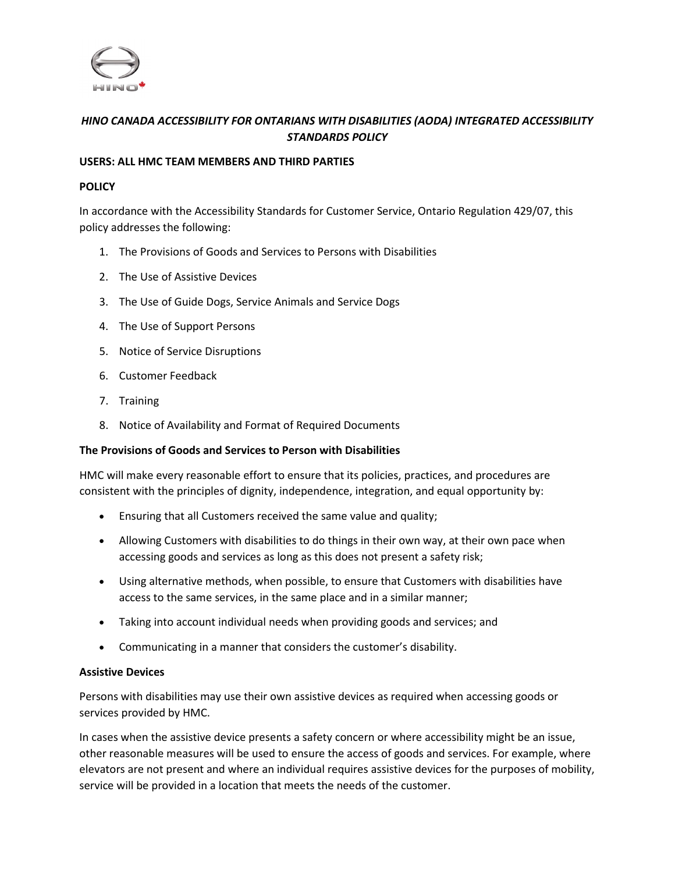

# *HINO CANADA ACCESSIBILITY FOR ONTARIANS WITH DISABILITIES (AODA) INTEGRATED ACCESSIBILITY STANDARDS POLICY*

#### **USERS: ALL HMC TEAM MEMBERS AND THIRD PARTIES**

#### **POLICY**

In accordance with the Accessibility Standards for Customer Service, Ontario Regulation 429/07, this policy addresses the following:

- 1. The Provisions of Goods and Services to Persons with Disabilities
- 2. The Use of Assistive Devices
- 3. The Use of Guide Dogs, Service Animals and Service Dogs
- 4. The Use of Support Persons
- 5. Notice of Service Disruptions
- 6. Customer Feedback
- 7. Training
- 8. Notice of Availability and Format of Required Documents

### **The Provisions of Goods and Services to Person with Disabilities**

HMC will make every reasonable effort to ensure that its policies, practices, and procedures are consistent with the principles of dignity, independence, integration, and equal opportunity by:

- Ensuring that all Customers received the same value and quality;
- Allowing Customers with disabilities to do things in their own way, at their own pace when accessing goods and services as long as this does not present a safety risk;
- Using alternative methods, when possible, to ensure that Customers with disabilities have access to the same services, in the same place and in a similar manner;
- Taking into account individual needs when providing goods and services; and
- Communicating in a manner that considers the customer's disability.

### **Assistive Devices**

Persons with disabilities may use their own assistive devices as required when accessing goods or services provided by HMC.

In cases when the assistive device presents a safety concern or where accessibility might be an issue, other reasonable measures will be used to ensure the access of goods and services. For example, where elevators are not present and where an individual requires assistive devices for the purposes of mobility, service will be provided in a location that meets the needs of the customer.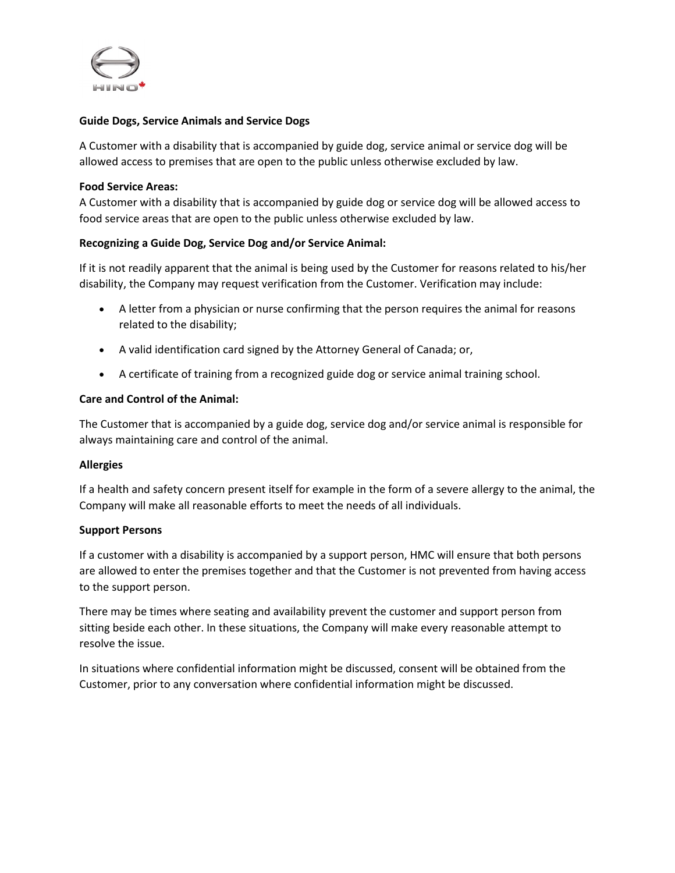

### **Guide Dogs, Service Animals and Service Dogs**

A Customer with a disability that is accompanied by guide dog, service animal or service dog will be allowed access to premises that are open to the public unless otherwise excluded by law.

#### **Food Service Areas:**

A Customer with a disability that is accompanied by guide dog or service dog will be allowed access to food service areas that are open to the public unless otherwise excluded by law.

## **Recognizing a Guide Dog, Service Dog and/or Service Animal:**

If it is not readily apparent that the animal is being used by the Customer for reasons related to his/her disability, the Company may request verification from the Customer. Verification may include:

- A letter from a physician or nurse confirming that the person requires the animal for reasons related to the disability;
- A valid identification card signed by the Attorney General of Canada; or,
- A certificate of training from a recognized guide dog or service animal training school.

### **Care and Control of the Animal:**

The Customer that is accompanied by a guide dog, service dog and/or service animal is responsible for always maintaining care and control of the animal.

### **Allergies**

If a health and safety concern present itself for example in the form of a severe allergy to the animal, the Company will make all reasonable efforts to meet the needs of all individuals.

### **Support Persons**

If a customer with a disability is accompanied by a support person, HMC will ensure that both persons are allowed to enter the premises together and that the Customer is not prevented from having access to the support person.

There may be times where seating and availability prevent the customer and support person from sitting beside each other. In these situations, the Company will make every reasonable attempt to resolve the issue.

In situations where confidential information might be discussed, consent will be obtained from the Customer, prior to any conversation where confidential information might be discussed.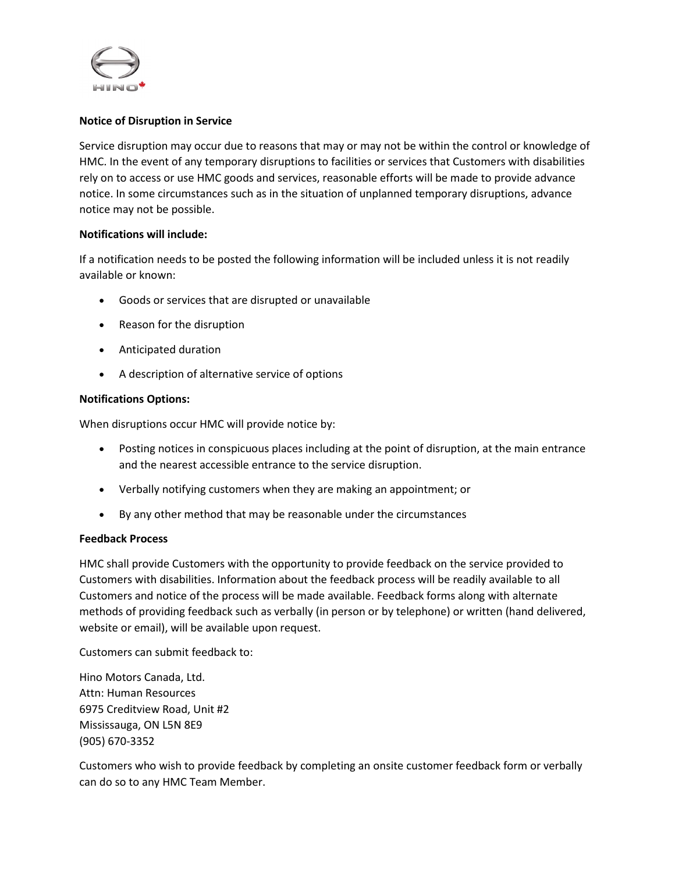

### **Notice of Disruption in Service**

Service disruption may occur due to reasons that may or may not be within the control or knowledge of HMC. In the event of any temporary disruptions to facilities or services that Customers with disabilities rely on to access or use HMC goods and services, reasonable efforts will be made to provide advance notice. In some circumstances such as in the situation of unplanned temporary disruptions, advance notice may not be possible.

### **Notifications will include:**

If a notification needs to be posted the following information will be included unless it is not readily available or known:

- Goods or services that are disrupted or unavailable
- Reason for the disruption
- Anticipated duration
- A description of alternative service of options

## **Notifications Options:**

When disruptions occur HMC will provide notice by:

- Posting notices in conspicuous places including at the point of disruption, at the main entrance and the nearest accessible entrance to the service disruption.
- Verbally notifying customers when they are making an appointment; or
- By any other method that may be reasonable under the circumstances

### **Feedback Process**

HMC shall provide Customers with the opportunity to provide feedback on the service provided to Customers with disabilities. Information about the feedback process will be readily available to all Customers and notice of the process will be made available. Feedback forms along with alternate methods of providing feedback such as verbally (in person or by telephone) or written (hand delivered, website or email), will be available upon request.

Customers can submit feedback to:

Hino Motors Canada, Ltd. Attn: Human Resources 6975 Creditview Road, Unit #2 Mississauga, ON L5N 8E9 (905) 670-3352

Customers who wish to provide feedback by completing an onsite customer feedback form or verbally can do so to any HMC Team Member.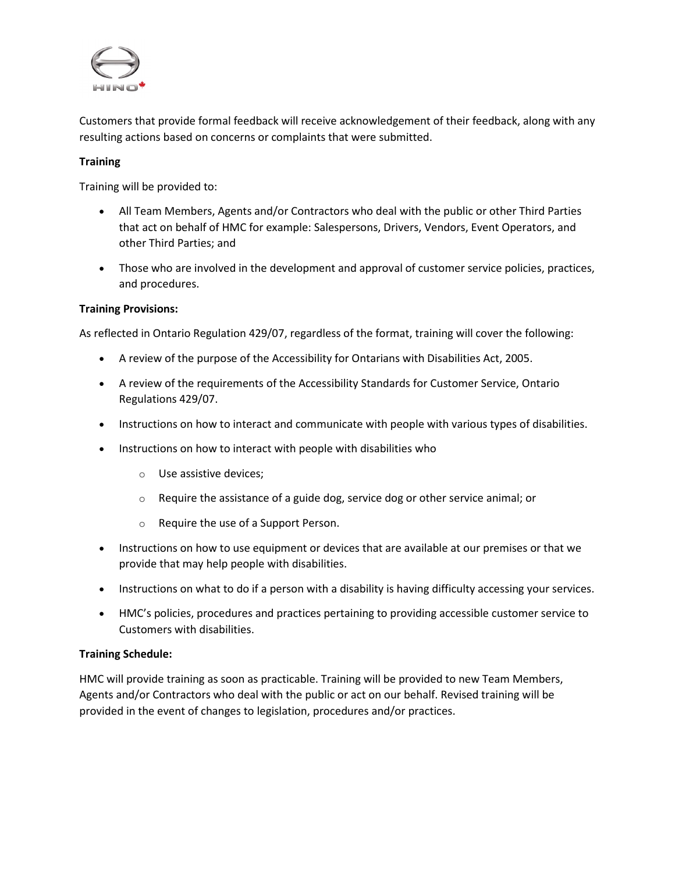

Customers that provide formal feedback will receive acknowledgement of their feedback, along with any resulting actions based on concerns or complaints that were submitted.

## **Training**

Training will be provided to:

- All Team Members, Agents and/or Contractors who deal with the public or other Third Parties that act on behalf of HMC for example: Salespersons, Drivers, Vendors, Event Operators, and other Third Parties; and
- Those who are involved in the development and approval of customer service policies, practices, and procedures.

## **Training Provisions:**

As reflected in Ontario Regulation 429/07, regardless of the format, training will cover the following:

- A review of the purpose of the Accessibility for Ontarians with Disabilities Act, 2005.
- A review of the requirements of the Accessibility Standards for Customer Service, Ontario Regulations 429/07.
- Instructions on how to interact and communicate with people with various types of disabilities.
- Instructions on how to interact with people with disabilities who
	- o Use assistive devices;
	- o Require the assistance of a guide dog, service dog or other service animal; or
	- o Require the use of a Support Person.
- Instructions on how to use equipment or devices that are available at our premises or that we provide that may help people with disabilities.
- Instructions on what to do if a person with a disability is having difficulty accessing your services.
- HMC's policies, procedures and practices pertaining to providing accessible customer service to Customers with disabilities.

### **Training Schedule:**

HMC will provide training as soon as practicable. Training will be provided to new Team Members, Agents and/or Contractors who deal with the public or act on our behalf. Revised training will be provided in the event of changes to legislation, procedures and/or practices.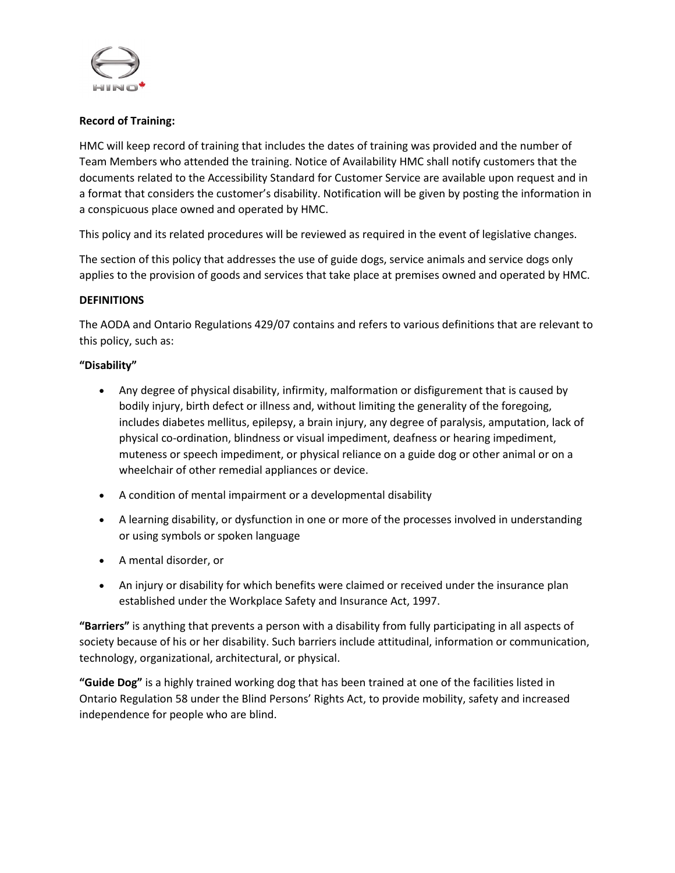

## **Record of Training:**

HMC will keep record of training that includes the dates of training was provided and the number of Team Members who attended the training. Notice of Availability HMC shall notify customers that the documents related to the Accessibility Standard for Customer Service are available upon request and in a format that considers the customer's disability. Notification will be given by posting the information in a conspicuous place owned and operated by HMC.

This policy and its related procedures will be reviewed as required in the event of legislative changes.

The section of this policy that addresses the use of guide dogs, service animals and service dogs only applies to the provision of goods and services that take place at premises owned and operated by HMC.

### **DEFINITIONS**

The AODA and Ontario Regulations 429/07 contains and refers to various definitions that are relevant to this policy, such as:

### **"Disability"**

- Any degree of physical disability, infirmity, malformation or disfigurement that is caused by bodily injury, birth defect or illness and, without limiting the generality of the foregoing, includes diabetes mellitus, epilepsy, a brain injury, any degree of paralysis, amputation, lack of physical co-ordination, blindness or visual impediment, deafness or hearing impediment, muteness or speech impediment, or physical reliance on a guide dog or other animal or on a wheelchair of other remedial appliances or device.
- A condition of mental impairment or a developmental disability
- A learning disability, or dysfunction in one or more of the processes involved in understanding or using symbols or spoken language
- A mental disorder, or
- An injury or disability for which benefits were claimed or received under the insurance plan established under the Workplace Safety and Insurance Act, 1997.

**"Barriers"** is anything that prevents a person with a disability from fully participating in all aspects of society because of his or her disability. Such barriers include attitudinal, information or communication, technology, organizational, architectural, or physical.

**"Guide Dog"** is a highly trained working dog that has been trained at one of the facilities listed in Ontario Regulation 58 under the Blind Persons' Rights Act, to provide mobility, safety and increased independence for people who are blind.